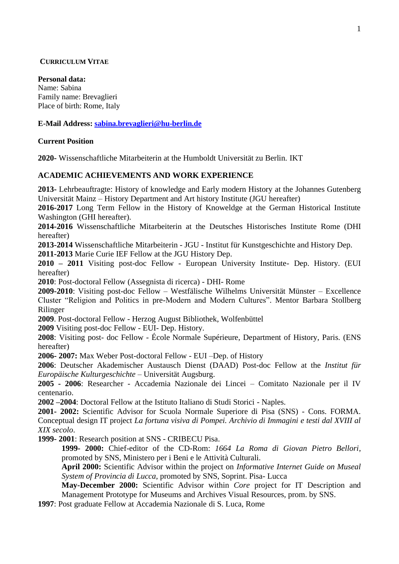# **CURRICULUM VITAE**

**Personal data:**  Name: Sabina Family name: Brevaglieri Place of birth: Rome, Italy

**E-Mail Address: [sabina.brevaglieri@hu-berlin.de](mailto:sabina.brevaglieri@hu-berlin.de)**

## **Current Position**

**2020-** Wissenschaftliche Mitarbeiterin at the Humboldt Universität zu Berlin. IKT

# **ACADEMIC ACHIEVEMENTS AND WORK EXPERIENCE**

**2013-** Lehrbeauftragte: History of knowledge and Early modern History at the Johannes Gutenberg Universität Mainz – History Department and Art history Institute (JGU hereafter)

**2016-2017** Long Term Fellow in the History of Knoweldge at the German Historical Institute Washington (GHI hereafter).

**2014-2016** Wissenschaftliche Mitarbeiterin at the Deutsches Historisches Institute Rome (DHI hereafter)

**2013-2014** Wissenschaftliche Mitarbeiterin - JGU - Institut für Kunstgeschichte and History Dep.

**2011-2013** Marie Curie IEF Fellow at the JGU History Dep.

**2010 – 2011** Visiting post-doc Fellow - European University Institute- Dep. History. (EUI hereafter)

**2010**: Post-doctoral Fellow (Assegnista di ricerca) - DHI- Rome

**2009-2010**: Visiting post-doc Fellow – Westfälische Wilhelms Universität Münster – Excellence Cluster "Religion and Politics in pre-Modern and Modern Cultures". Mentor Barbara Stollberg Rilinger

**2009**. Post-doctoral Fellow - Herzog August Bibliothek, Wolfenbüttel

**2009** Visiting post-doc Fellow - EUI- Dep. History.

**2008**: Visiting post- doc Fellow - École Normale Supérieure, Department of History, Paris. (ENS hereafter)

**2006- 2007:** Max Weber Post-doctoral Fellow - EUI –Dep. of History

**2006**: Deutscher Akademischer Austausch Dienst (DAAD) Post-doc Fellow at the *Institut für Europäische Kulturgeschichte* – Universität Augsburg.

**2005 - 2006**: Researcher - Accademia Nazionale dei Lincei – Comitato Nazionale per il IV centenario.

**2002 –2004**: Doctoral Fellow at the Istituto Italiano di Studi Storici - Naples.

**2001- 2002:** Scientific Advisor for Scuola Normale Superiore di Pisa (SNS) - Cons. FORMA. Conceptual design IT project *La fortuna visiva di Pompei. Archivio di Immagini e testi dal XVIII al XIX secolo*.

**1999- 2001**: Research position at SNS - CRIBECU Pisa.

**1999- 2000:** Chief-editor of the CD-Rom: *1664 La Roma di Giovan Pietro Bellori*, promoted by SNS, Ministero per i Beni e le Attività Culturali.

**April 2000:** Scientific Advisor within the project on *Informative Internet Guide on Museal System of Provincia di Lucca*, promoted by SNS, Soprint. Pisa- Lucca

**May-December 2000:** Scientific Advisor within *Core* project for IT Description and Management Prototype for Museums and Archives Visual Resources, prom. by SNS.

**1997**: Post graduate Fellow at Accademia Nazionale di S. Luca, Rome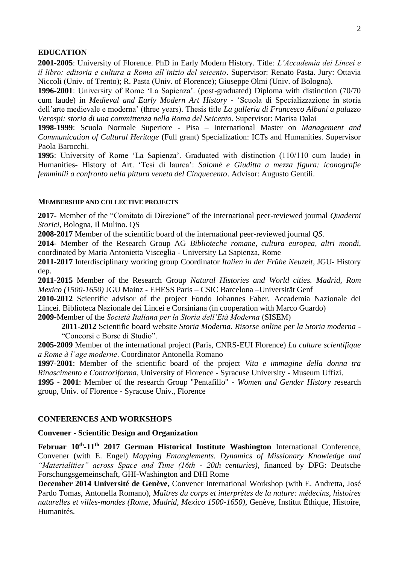## **EDUCATION**

**2001-2005**: University of Florence. PhD in Early Modern History. Title: *L'Accademia dei Lincei e il libro: editoria e cultura a Roma all'inizio del seicento*. Supervisor: Renato Pasta. Jury: Ottavia Niccoli (Univ. of Trento); R. Pasta (Univ. of Florence); Giuseppe Olmi (Univ. of Bologna).

**1996-2001**: University of Rome 'La Sapienza'. (post-graduated) Diploma with distinction (70/70 cum laude) in *Medieval and Early Modern Art History* - 'Scuola di Specializzazione in storia dell'arte medievale e moderna' (three years). Thesis title *La galleria di Francesco Albani a palazzo Verospi: storia di una committenza nella Roma del Seicento*. Supervisor: Marisa Dalai

**1998-1999**: Scuola Normale Superiore - Pisa – International Master on *Management and Communication of Cultural Heritage* (Full grant) Specialization: ICTs and Humanities. Supervisor Paola Barocchi.

**1995**: University of Rome 'La Sapienza'. Graduated with distinction (110/110 cum laude) in Humanities- History of Art. 'Tesi di laurea': *Salomè e Giuditta a mezza figura: iconografie femminili a confronto nella pittura veneta del Cinquecento*. Advisor: Augusto Gentili.

## **MEMBERSHIP AND COLLECTIVE PROJECTS**

**2017-** Member of the "Comitato di Direzione" of the international peer-reviewed journal *Quaderni Storici*, Bologna, Il Mulino. QS

**2008-2017** Member of the scientific board of the international peer-reviewed journal *QS*.

**2014-** Member of the Research Group AG *Biblioteche romane, cultura europea, altri mondi*, coordinated by Maria Antonietta Visceglia - University La Sapienza, Rome

**2011-2017** Interdisciplinary working group Coordinator *Italien in der Frühe Neuzeit*, JGU- History dep.

**2011-2015** Member of the Research Group *Natural Histories and World cities. Madrid, Rom Mexico (1500-1650)* JGU Mainz - EHESS Paris – CSIC Barcelona –Universität Genf

**2010-2012** Scientific advisor of the project Fondo Johannes Faber. Accademia Nazionale dei Lincei. Biblioteca Nazionale dei Lincei e Corsiniana (in cooperation with Marco Guardo)

**2009-**Member of the *Società Italiana per la Storia dell'Età Moderna* (SISEM)

**2011-2012** Scientific board website *Storia Moderna. Risorse online per la Storia moderna* - "Concorsi e Borse di Studio".

**2005-2009** Member of the international project (Paris, CNRS-EUI Florence) *La culture scientifique a Rome à l'age moderne*. Coordinator Antonella Romano

**1997-2001**: Member of the scientific board of the project *Vita e immagine della donna tra Rinascimento e Controriforma*, University of Florence - Syracuse University - Museum Uffizi.

**1995 - 2001**: Member of the research Group "Pentafillo" - *Women and Gender History* research group, Univ. of Florence - Syracuse Univ., Florence

## **CONFERENCES AND WORKSHOPS**

#### **Convener - Scientific Design and Organization**

**Februar 10th -11th 2017 German Historical Institute Washington** International Conference, Convener (with E. Engel) *Mapping Entanglements. Dynamics of Missionary Knowledge and "Materialities" across Space and Time (16th - 20th centuries)*, financed by DFG: Deutsche Forschungsgemeinschaft, GHI-Washington and DHI Rome

**December 2014 Université de Genève,** Convener International Workshop (with E. Andretta, José Pardo Tomas, Antonella Romano), *Maîtres du corps et interprètes de la nature: médecins, histoires naturelles et villes-mondes (Rome, Madrid, Mexico 1500-1650)*, Genève, Institut Éthique, Histoire, Humanités.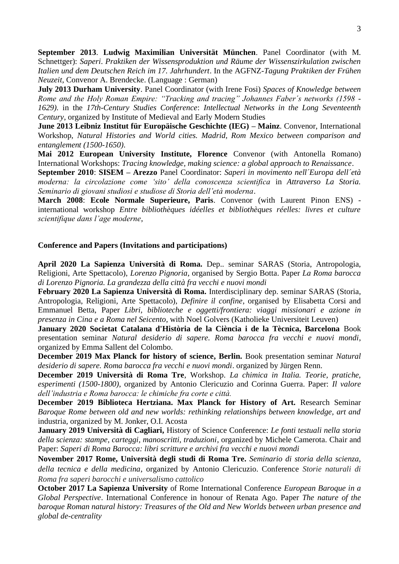**September 2013**. **Ludwig Maximilian Universität München**. Panel Coordinator (with M. Schnettger): *Saperi*. *Praktiken der Wissensproduktion und Räume der Wissenszirkulation zwischen Italien und dem Deutschen Reich im 17. Jahrhundert*. In the AGFNZ-*Tagung Praktiken der Frühen Neuzeit*, Convenor A. Brendecke. (Language : German)

**July 2013 Durham University**. Panel Coordinator (with Irene Fosi) *Spaces of Knowledge between Rome and the Holy Roman Empire: "Tracking and tracing" Johannes Faber´s networks (1598 - 1629).* in the *17th-Century Studies Conference*: *Intellectual Networks in the Long Seventeenth Century*, organized by Institute of Medieval and Early Modern Studies

**June 2013 Leibniz Institut für Europäische Geschichte (IEG) – Mainz**. Convenor, International Workshop, *Natural Histories and World cities. Madrid, Rom Mexico between comparison and entanglement (1500-1650)*.

**Mai 2012 European University Institute, Florence** Convenor (with Antonella Romano) International Workshops: *Tracing knowledge, making science: a global approach to Renaissance*.

**September 2010**: **SISEM – Arezzo** Panel Coordinator: *Saperi in movimento nell´Europa dell´età moderna: la circolazione come 'sito' della conoscenza scientifica* in *Attraverso La Storia. Seminario di giovani studiosi e studiose di Storia dell'età moderna*.

**March 2008**: **Ecole Normale Superieure, Paris**. Convenor (with Laurent Pinon ENS) international workshop *Entre bibliothèques idéelles et bibliothèques réelles: livres et culture scientifique dans l'age moderne*,

## **Conference and Papers (Invitations and participations)**

**April 2020 La Sapienza Università di Roma.** Dep.. seminar SARAS (Storia, Antropologia, Religioni, Arte Spettacolo), *Lorenzo Pignoria*, organised by Sergio Botta. Paper *La Roma barocca di Lorenzo Pignoria. La grandezza della città fra vecchi e nuovi mondi* 

**February 2020 La Sapienza Università di Roma.** Interdisciplinary dep. seminar SARAS (Storia, Antropologia, Religioni, Arte Spettacolo), *Definire il confine*, organised by Elisabetta Corsi and Emmanuel Betta, Paper *Libri, biblioteche e oggetti/frontiera: viaggi missionari e azione in presenza in Cina e a Roma nel Seicento*, with Noel Golvers (Katholieke Universiteit Leuven)

**January 2020 [Societat Catalana d'Història de la Ciència i de la Tècnica, Barcelona](https://it-it.facebook.com/SCHCienciaTecnica/?ref=page_internal)** Book presentation seminar *[Natural desiderio di sapere. Roma barocca fra vecchi e nuovi mondi](https://it-it.facebook.com/SCHCienciaTecnica/?ref=page_internal)*, [organized by Emma Sallent del Colombo.](https://it-it.facebook.com/SCHCienciaTecnica/?ref=page_internal)

**December 2019 Max Planck for history of science, Berlin.** Book presentation seminar *Natural desiderio di sapere. Roma barocca fra vecchi e nuovi mondi*. organized by Jürgen Renn.

**December 2019 Università di Roma Tre**, Workshop. *La chimica in Italia. Teorie, pratiche, esperimenti (1500-1800)*, organized by Antonio Clericuzio and Corinna Guerra. Paper: *Il valore dell'industria e Roma barocca: le chimiche fra corte e città.*

**December 2019 Biblioteca Hertziana. Max Planck for History of Art.** Research Seminar *Baroque Rome between old and new worlds: rethinking relationships between knowledge, art and*  industria, organized by M. Jonker, O.I. Acosta

**January 2019 Università di Cagliari,** History of Science Conference: *Le fonti testuali nella storia della scienza: stampe, carteggi, manoscritti, traduzioni*, organized by Michele Camerota. Chair and Paper: *Saperi di Roma Barocca: libri scritture e archivi fra vecchi e nuovi mondi*

**November 2017 Rome, Università degli studi di Roma Tre.** *Seminario di storia della scienza, della tecnica e della medicina*, organized by Antonio Clericuzio. Conference *Storie naturali di Roma fra saperi barocchi e universalismo cattolico*

**October 2017 La Sapienza University** of Rome International Conference *European Baroque in a Global Perspective*. International Conference in honour of Renata Ago. Paper *The nature of the baroque Roman natural history: Treasures of the Old and New Worlds between urban presence and global de-centrality*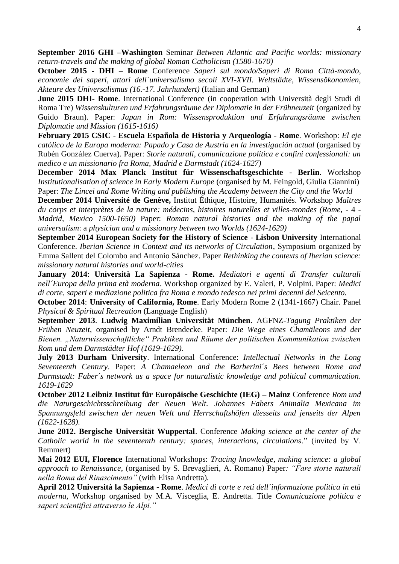**September 2016 GHI –Washington** Seminar *Between Atlantic and Pacific worlds: missionary return-travels and the making of global Roman Catholicism (1580-1670)* 

**October 2015 - DHI – Rome** Conference *Saperi sul mondo/Saperi di Roma Città-mondo, economie dei saperi, attori dell´universalismo secoli XVI-XVII. Weltstädte, Wissensökonomien, Akteure des Universalismus (16.-17. Jahrhundert)* (Italian and German)

**June 2015 DHI- Rome**. International Conference (in cooperation with Università degli Studi di Roma Tre) *Wissenskulturen und Erfahrungsräume der Diplomatie in der Frühneuzeit* (organized by Guido Braun). Paper: *Japan in Rom: Wissensproduktion und Erfahrungsräume zwischen Diplomatie und Mission (1615-1616)* 

**February 2015 CSIC - Escuela Española de Historia y Arqueología - Rome**. Workshop: *El eje católico de la Europa moderna: Papado y Casa de Austria en la investigación actual* (organised by Rubén González Cuerva). Paper: *Storie naturali, comunicazione politica e confini confessionali: un medico e un missionario fra Roma, Madrid e Darmstadt (1624-1627)* 

**December 2014 Max Planck Institut für Wissenschaftsgeschichte - Berlin**. Workshop *Institutionalisation of science in Early Modern Europe* (organised by M. Feingold, Giulia Giannini) Paper: *The Lincei and Rome Writing and publishing the Academy between the City and the World* 

**December 2014 Université de Genève,** Institut Éthique, Histoire, Humanités. Workshop *Maîtres du corps et interprètes de la nature: médecins, histoires naturelles et villes-mondes (Rome,* - 4 - *Madrid, Mexico 1500-1650)* Paper: *Roman natural histories and the making of the papal universalism*: a *physician and a missionary between two Worlds (1624-1629)* 

**September 2014 European Society for the History of Science** - **Lisbon University** International Conference. *Iberian Science in Context and its networks of Circulation*, Symposium organized by Emma Sallent del Colombo and Antonio Sánchez. Paper *Rethinking the contexts of Iberian science: missionary natural histories and world-cities* 

**January 2014**: **Università La Sapienza - Rome.** *Mediatori e agenti di Transfer culturali nell´Europa della prima età moderna*. Workshop organized by E. Valeri, P. Volpini. Paper: *Medici di corte, saperi e mediazione politica fra Roma e mondo tedesco nei primi decenni del Seicento.* 

**October 2014**: **University of California, Rome**. Early Modern Rome 2 (1341-1667) Chair. Panel *Physical & Spiritual Recreation* (Language English)

**September 2013**. **Ludwig Maximilian Universität München**. AGFNZ-*Tagung Praktiken der Frühen Neuzeit*, organised by Arndt Brendecke. Paper: *Die Wege eines Chamäleons und der Bienen. "Naturwissenschaftliche" Praktiken und Räume der politischen Kommunikation zwischen Rom und dem Darmstädter Hof (1619-1629)*.

**July 2013 Durham University**. International Conference: *Intellectual Networks in the Long Seventeenth Century*. Paper: *A Chamaeleon and the Barberini´s Bees between Rome and Darmstadt: Faber´s network as a space for naturalistic knowledge and political communication. 1619-1629* 

**October 2012 Leibniz Institut für Europäische Geschichte (IEG) – Mainz** Conference *Rom und die Naturgeschichtsschreibung der Neuen Welt. Johannes Fabers Animalia Mexicana im Spannungsfeld zwischen der neuen Welt und Herrschaftshöfen diesseits und jenseits der Alpen (1622-1628).* 

**June 2012. Bergische Universität Wuppertal**. Conference *Making science at the center of the Catholic world in the seventeenth century: spaces, interactions, circulations*." (invited by V. Remmert)

**Mai 2012 EUI, Florence** International Workshops: *Tracing knowledge, making science: a global approach to Renaissance*, (organised by S. Brevaglieri, A. Romano) Paper*: "Fare storie naturali nella Roma del Rinascimento"* (with Elisa Andretta)*.* 

**April 2012 Università la Sapienza - Rome**. *Medici di corte e reti dell´informazione politica in età moderna,* Workshop organised by M.A. Visceglia, E. Andretta. Title *Comunicazione politica e saperi scientifici attraverso le Alpi."*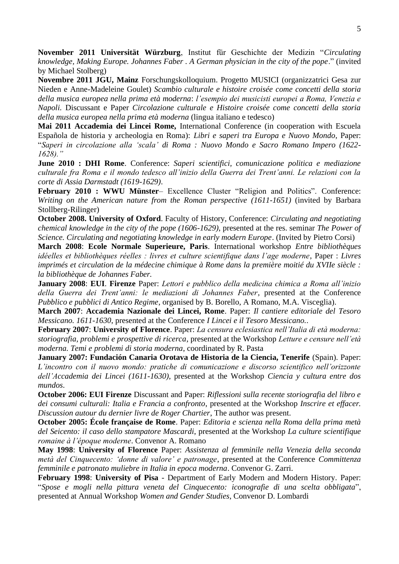**November 2011 Universität Würzburg**, Institut für Geschichte der Medizin "*Circulating knowledge, Making Europe. Johannes Faber . A German physician in the city of the pope*." (invited by Michael Stolberg)

**Novembre 2011 JGU, Mainz** Forschungskolloquium. Progetto MUSICI (organizzatrici Gesa zur Nieden e Anne-Madeleine Goulet) *Scambio culturale e histoire croisée come concetti della storia della musica europea nella prima età moderna*: *l'esempio dei musicisti europei a Roma, Venezia e Napoli.* Discussant e Paper *Circolazione culturale e Histoire croisée come concetti della storia della musica europea nella prima età moderna* (lingua italiano e tedesco)

**Mai 2011 Accademia dei Lincei Rome,** International Conference (in cooperation with Escuela Española de historia y archeologia en Roma): *Libri e saperi tra Europa e Nuovo Mondo*, Paper: "*Saperi in circolazione alla 'scala' di Roma : Nuovo Mondo e Sacro Romano Impero (1622- 1628)."* 

**June 2010 : DHI Rome**. Conference: *Saperi scientifici, comunicazione politica e mediazione culturale fra Roma e il mondo tedesco all'inizio della Guerra dei Trent'anni. Le relazioni con la corte di Assia Darmstadt (1619-1629)*.

**February 2010 : WWU Münster**– Excellence Cluster "Religion and Politics". Conference: *Writing on the American nature from the Roman perspective (1611-1651)* (invited by Barbara Stollberg-Rilinger)

**October 2008. University of Oxford**. Faculty of History, Conference: *Circulating and negotiating chemical knowledge in the city of the pope (1606-1629)*, presented at the res. seminar *The Power of Science. Circulating and negotiating knowledge in early modern Europe*. (Invited by Pietro Corsi)

**March 2008**: **Ecole Normale Superieure, Paris**. International workshop *Entre bibliothèques idéelles et bibliothèques réelles : livres et culture scientifique dans l'age moderne*, Paper : *Livres imprimés et circulation de la médecine chimique à Rome dans la première moitié du XVIIe siècle : la bibliothèque de Johannes Faber.* 

**January 2008**: **EUI**. **Firenze** Paper: *Lettori e pubblico della medicina chimica a Roma all'inizio della Guerra dei Trent'anni: le mediazioni di Johannes Faber*, presented at the Conference *Pubblico e pubblici di Antico Regime*, organised by B. Borello, A Romano, M.A. Visceglia).

**March 2007**: **Accademia Nazionale dei Lincei, Rome**. Paper: *Il cantiere editoriale del Tesoro Messicano. 1611-1630*, presented at the Conference *I Lincei e il Tesoro Messicano.*.

**February 2007**: **University of Florence**. Paper: *La censura eclesiastica nell'Italia di età moderna: storiografia, problemi e prospettive di ricerca*, presented at the Workshop *Letture e censure nell'età moderna. Temi e problemi di storia moderna*, coordinated by R. Pasta

**January 2007: Fundación Canaria Orotava de Historia de la Ciencia, Tenerife** (Spain). Paper: *L'incontro con il nuovo mondo: pratiche di comunicazione e discorso scientifico nell'orizzonte dell'Accademia dei Lincei (1611-1630)*, presented at the Workshop *Ciencia y cultura entre dos mundos*.

**October 2006: EUI Firenze** Discussant and Paper: *Riflessioni sulla recente storiografia del libro e dei consumi culturali: Italia e Francia a confronto*, presented at the Workshop *Inscrire et effacer. Discussion autour du dernier livre de Roger Chartier*, The author was present.

**October 2005: École française de Rome**. Paper: *Editoria e scienza nella Roma della prima metà del Seicento: il caso dello stampatore Mascardi*, presented at the Workshop *La culture scientifique romaine à l'époque moderne*. Convenor A. Romano

**May 1998**: **University of Florence** Paper: *Assistenza al femminile nella Venezia della seconda metà del Cinquecento: 'donne di valore' e patronage*, presented at the Conference *Committenza femminile e patronato muliebre in Italia in epoca moderna*. Convenor G. Zarri.

**February 1998**: **University of Pisa** - Department of Early Modern and Modern History. Paper: "*Spose e mogli nella pittura veneta del Cinquecento: iconografie di una scelta obbligata*", presented at Annual Workshop *Women and Gender Studies*, Convenor D. Lombardi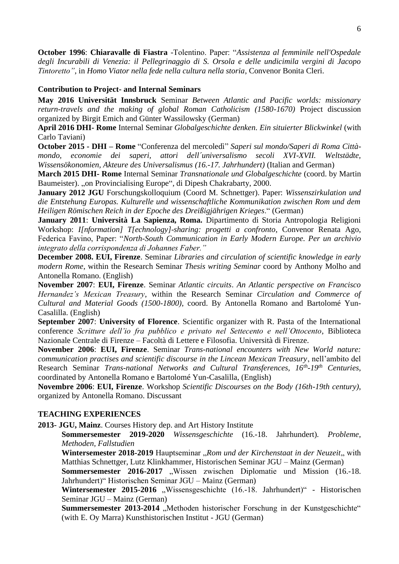**October 1996**: **Chiaravalle di Fiastra** -Tolentino. Paper: "*Assistenza al femminile nell'Ospedale degli Incurabili di Venezia: il Pellegrinaggio di S. Orsola e delle undicimila vergini di Jacopo Tintoretto"*, in *Homo Viator nella fede nella cultura nella storia*, Convenor Bonita Cleri.

# **Contribution to Project- and Internal Seminars**

**May 2016 Universität Innsbruck** Seminar *Between Atlantic and Pacific worlds: missionary*  return-travels and the making of global Roman Catholicism (1580-1670) Project discussion organized by Birgit Emich and Günter Wassilowsky (German)

**April 2016 DHI- Rome** Internal Seminar *Globalgeschichte denken. Ein situierter Blickwinkel* (with Carlo Taviani)

**October 2015 - DHI – Rome** "Conferenza del mercoledì" *Saperi sul mondo/Saperi di Roma Cittàmondo, economie dei saperi, attori dell´universalismo secoli XVI-XVII. Weltstädte, Wissensökonomien, Akteure des Universalismus (16.-17. Jahrhundert)* (Italian and German)

**March 2015 DHI- Rome** Internal Seminar *Transnationale und Globalgeschichte* (coord. by Martin Baumeister). "on Provincialising Europe", di Dipesh Chakrabarty, 2000.

**January 2012 JGU** Forschungskolloquium (Coord M. Schnettger). Paper: *Wissenszirkulation und die Entstehung Europas. Kulturelle und wissenschaftliche Kommunikation zwischen Rom und dem Heiligen Römischen Reich in der Epoche des Dreißigjährigen Krieges*." (German)

**January 2011**: **Università La Sapienza, Roma.** Dipartimento di Storia Antropologia Religioni Workshop: *I[nformation] T[echnology]-sharing: progetti a confronto*, Convenor Renata Ago, Federica Favino, Paper: "*North-South Communication in Early Modern Europe. Per un archivio integrato della corrispondenza di Johannes Faber."* 

**December 2008. EUI, Firenze**. Seminar *Libraries and circulation of scientific knowledge in early modern Rome*, within the Research Seminar *Thesis writing Seminar* coord by Anthony Molho and Antonella Romano. (English)

**November 2007**: **EUI, Firenze**. Seminar *Atlantic circuits*. *An Atlantic perspective on Francisco Hernandez's Mexican Treasury*, within the Research Seminar *Circulation and Commerce of Cultural and Material Goods (1500-1800)*, coord. By Antonella Romano and Bartolomé Yun-Casalilla. (English)

**September 2007**: **University of Florence**. Scientific organizer with R. Pasta of the International conference *Scritture dell'io fra pubblico e privato nel Settecento e nell'Ottocento*, Biblioteca Nazionale Centrale di Firenze – Facoltà di Lettere e Filosofia. Università di Firenze.

**November 2006**: **EUI, Firenze**. Seminar *Trans-national encounters with New World nature: communication practises and scientific discourse in the Lincean Mexican Treasury*, nell'ambito del Research Seminar *Trans-national Networks and Cultural Transferences, 16th -19th Centuries*, coordinated by Antonella Romano e Bartolomé Yun-Casalilla, (English)

**Novembre 2006**: **EUI, Firenze**. Workshop *Scientific Discourses on the Body (16th-19th century)*, organized by Antonella Romano. Discussant

# **TEACHING EXPERIENCES**

**2013- JGU, Mainz**. Courses History dep. and Art History Institute

**Sommersemester 2019-2020** *Wissensgeschichte* (16.-18. Jahrhundert)*. Probleme, Methoden, Fallstudien*

**Wintersemester 2018-2019** Hauptseminar "Rom und der Kirchenstaat in der Neuzeit, with Matthias Schnettger, Lutz Klinkhammer, Historischen Seminar JGU – Mainz (German)

**Sommersemester 2016-2017** "Wissen zwischen Diplomatie und Mission (16.-18. Jahrhundert)" Historischen Seminar JGU – Mainz (German)

Wintersemester 2015-2016 "Wissensgeschichte (16.-18. Jahrhundert)" - Historischen Seminar JGU – Mainz (German)

**Summersemester 2013-2014** "Methoden historischer Forschung in der Kunstgeschichte" (with E. Oy Marra) Kunsthistorischen Institut - JGU (German)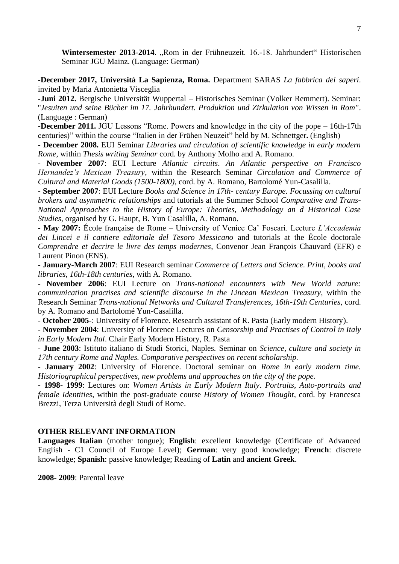Wintersemester 2013-2014. "Rom in der Frühneuzeit. 16.-18. Jahrhundert" Historischen Seminar JGU Mainz. (Language: German)

**-December 2017, Università La Sapienza, Roma.** Department SARAS *La fabbrica dei saperi*. invited by Maria Antonietta Visceglia

**-Juni 2012.** Bergische Universität Wuppertal – Historisches Seminar (Volker Remmert). Seminar: ''*Jesuiten und seine Bücher im 17. Jahrhundert. Produktion und Zirkulation von Wissen in Rom''*. (Language : German)

**-December 2011.** JGU Lessons "Rome. Powers and knowledge in the city of the pope – 16th-17th centuries)" within the course "Italien in der Frühen Neuzeit" held by M. Schnettger**.** (English)

**- December 2008.** EUI Seminar *Libraries and circulation of scientific knowledge in early modern Rome*, within *Thesis writing Seminar* cord. by Anthony Molho and A. Romano.

- **November 2007**: EUI Lecture *Atlantic circuits*. *An Atlantic perspective on Francisco Hernandez's Mexican Treasury*, within the Research Seminar *Circulation and Commerce of Cultural and Material Goods (1500-1800)*, cord. by A. Romano, Bartolomé Yun-Casalilla.

**- September 2007**: EUI Lecture *Books and Science in 17th- century Europe. Focussing on cultural brokers and asymmetric relationships* and tutorials at the Summer School *Comparative and Trans-National Approaches to the History of Europe: Theories, Methodology an d Historical Case Studies*, organised by G. Haupt, B. Yun Casalilla, A. Romano.

**- May 2007:** École française de Rome – University of Venice Ca' Foscari. Lecture *L'Accademia dei Lincei e il cantiere editoriale del Tesoro Messicano* and tutorials at the École doctorale *Comprendre et decrire le livre des temps modernes*, Convenor Jean François Chauvard (EFR) e Laurent Pinon (ENS).

**- January-March 2007**: EUI Research seminar *Commerce of Letters and Science. Print, books and libraries*, *16th-18th centuries*, with A. Romano.

**- November 2006**: EUI Lecture on *Trans-national encounters with New World nature: communication practises and scientific discourse in the Lincean Mexican Treasury*, within the Research Seminar *Trans-national Networks and Cultural Transferences, 16th-19th Centuries*, cord. by A. Romano and Bartolomé Yun-Casalilla.

- **October 2005-**: University of Florence. Research assistant of R. Pasta (Early modern History).

**- November 2004**: University of Florence Lectures on *Censorship and Practises of Control in Italy in Early Modern Ital*. Chair Early Modern History, R. Pasta

- **June 2003**: Istituto italiano di Studi Storici, Naples. Seminar on *Science, culture and society in 17th century Rome and Naples. Comparative perspectives on recent scholarship.* 

- **January 2002**: University of Florence. Doctoral seminar on *Rome in early modern time. Historiographical perspectives, new problems and approaches on the city of the pope*.

**- 1998- 1999**: Lectures on: *Women Artists in Early Modern Italy*. *Portraits, Auto-portraits and female Identities*, within the post-graduate course *History of Women Thought*, cord. by Francesca Brezzi, Terza Università degli Studi of Rome.

## **OTHER RELEVANT INFORMATION**

**Languages Italian** (mother tongue); **English**: excellent knowledge (Certificate of Advanced English - C1 Council of Europe Level); **German**: very good knowledge; **French**: discrete knowledge; **Spanish**: passive knowledge; Reading of **Latin** and **ancient Greek**.

**2008- 2009**: Parental leave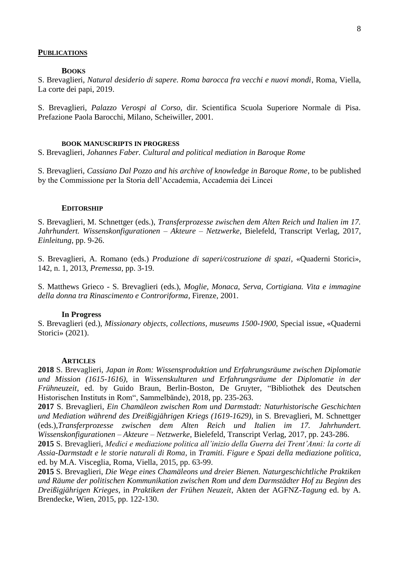#### **PUBLICATIONS**

# **BOOKS**

S. Brevaglieri, *Natural desiderio di sapere. Roma barocca fra vecchi e nuovi mondi*, Roma, Viella, La corte dei papi, 2019.

S. Brevaglieri, *Palazzo Verospi al Corso*, dir. Scientifica Scuola Superiore Normale di Pisa. Prefazione Paola Barocchi, Milano, Scheiwiller, 2001.

#### **BOOK MANUSCRIPTS IN PROGRESS**

S. Brevaglieri, *Johannes Faber. Cultural and political mediation in Baroque Rome*

S. Brevaglieri, *Cassiano Dal Pozzo and his archive of knowledge in Baroque Rome*, to be published by the Commissione per la Storia dell'Accademia, Accademia dei Lincei

#### **EDITORSHIP**

S. Brevaglieri, M. Schnettger (eds.), *Transferprozesse zwischen dem Alten Reich und Italien im 17. Jahrhundert. Wissenskonfigurationen – Akteure – Netzwerke*, Bielefeld, Transcript Verlag, 2017, *Einleitung*, pp. 9-26.

S. Brevaglieri, A. Romano (eds.) *Produzione di saperi/costruzione di spazi*, «Quaderni Storici», 142, n. 1, 2013, *Premessa,* pp. 3-19.

S. Matthews Grieco - S. Brevaglieri (eds.), *Moglie, Monaca, Serva, Cortigiana. Vita e immagine della donna tra Rinascimento e Controriforma*, Firenze, 2001.

#### **In Progress**

S. Brevaglieri (ed.), *Missionary objects, collections, museums 1500-1900*, Special issue, «Quaderni Storici» (2021).

#### **ARTICLES**

**2018** S. Brevaglieri, *Japan in Rom: Wissensproduktion und Erfahrungsräume zwischen Diplomatie und Mission (1615-1616)*, in *Wissenskulturen und Erfahrungsräume der Diplomatie in der Frühneuzeit*, ed. by Guido Braun, Berlin-Boston, De Gruyter, "Bibliothek des Deutschen Historischen Instituts in Rom", Sammelbände), 2018, pp. 235-263.

**2017** S. Brevaglieri, *Ein Chamäleon zwischen Rom und Darmstadt: Naturhistorische Geschichten und Mediation während des Dreißigjährigen Kriegs (1619-1629)*, in S. Brevaglieri, M. Schnettger (eds.),*Transferprozesse zwischen dem Alten Reich und Italien im 17. Jahrhundert. Wissenskonfigurationen – Akteure – Netzwerke*, Bielefeld, Transcript Verlag, 2017, pp. 243-286.

**2015** S. Brevaglieri, *Medici e mediazione politica all'inizio della Guerra dei Trent'Anni: la corte di Assia-Darmstadt e le storie naturali di Roma*, in *Tramiti. Figure e Spazi della mediazione politica*, ed. by M.A. Visceglia, Roma, Viella, 2015, pp. 63-99.

**2015** S. Brevaglieri, *Die Wege eines Chamäleons und dreier Bienen. Naturgeschichtliche Praktiken und Räume der politischen Kommunikation zwischen Rom und dem Darmstädter Hof zu Beginn des Dreißigjährigen Krieges*, in *Praktiken der Frühen Neuzeit*, Akten der AGFNZ-*Tagung* ed. by A. Brendecke, Wien, 2015, pp. 122-130.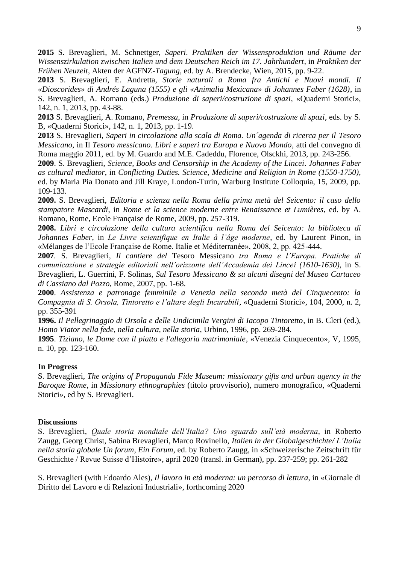**2015** S. Brevaglieri, M. Schnettger, *Saperi*. *Praktiken der Wissensproduktion und Räume der Wissenszirkulation zwischen Italien und dem Deutschen Reich im 17. Jahrhundert*, in *Praktiken der Frühen Neuzeit*, Akten der AGFNZ-*Tagung,* ed. by A. Brendecke, Wien, 2015, pp. 9-22.

**2013** S. Brevaglieri, E. Andretta, *Storie naturali a Roma fra Antichi e Nuovi mondi. Il «Dioscorides» di Andrés Laguna (1555) e gli «Animalia Mexicana» di Johannes Faber (1628)*, in S. Brevaglieri, A. Romano (eds.) *Produzione di saperi/costruzione di spazi*, «Quaderni Storici», 142, n. 1, 2013, pp. 43-88.

**2013** S. Brevaglieri, A. Romano, *Premessa*, in *Produzione di saperi/costruzione di spazi*, eds. by S. B, «Quaderni Storici», 142, n. 1, 2013, pp. 1-19.

**2013** S. Brevaglieri, *Saperi in circolazione alla scala di Roma. Un´agenda di ricerca per il Tesoro Messicano*, in Il *Tesoro messicano*. *Libri e saperi tra Europa e Nuovo Mondo*, atti del convegno di Roma maggio 2011, ed. by M. Guardo and M.E. Cadeddu, Florence, Olsckhi, 2013, pp. 243-256.

**2009**. S. Brevaglieri, *Science, Books and Censorship in the Academy of the Lincei. Johannes Faber as cultural mediator*, in *Conflicting Duties. Science, Medicine and Religion in Rome (1550-1750)*, ed. by Maria Pia Donato and Jill Kraye, London-Turin, Warburg Institute Colloquia, 15, 2009, pp. 109-133.

**2009.** S. Brevaglieri, *Editoria e scienza nella Roma della prima metà del Seicento: il caso dello stampatore Mascardi*, in *Rome et la science moderne entre Renaissance et Lumières*, ed. by A. Romano, Rome, Ecole Française de Rome, 2009, pp. 257-319.

**2008.** *Libri e circolazione della cultura scientifica nella Roma del Seicento: la biblioteca di Johannes Faber*, in *Le Livre scientifique en Italie à l'âge moderne*, ed. by Laurent Pinon, in «Mélanges de l'Ecole Française de Rome. Italie et Méditerranée», 2008, 2, pp. 425-444.

**2007***.* S. Brevaglieri, *Il cantiere del* Tesoro Messicano *tra Roma e l'Europa. Pratiche di comunicazione e strategie editoriali nell'orizzonte dell'Accademia dei Lincei (1610-1630)*, in S. Brevaglieri, L. Guerrini, F. Solinas, *Sul Tesoro Messicano & su alcuni disegni del Museo Cartaceo di Cassiano dal Pozzo*, Rome, 2007, pp. 1-68.

**2000**. *Assistenza e patronage femminile a Venezia nella seconda metà del Cinquecento: la Compagnia di S. Orsola, Tintoretto e l'altare degli Incurabili*, «Quaderni Storici», 104, 2000, n. 2, pp. 355-391

**1996.** *Il Pellegrinaggio di Orsola e delle Undicimila Vergini di Iacopo Tintoretto*, in B. Cleri (ed.), *Homo Viator nella fede, nella cultura, nella storia*, Urbino, 1996, pp. 269-284.

**1995**. *Tiziano, le Dame con il piatto e l'allegoria matrimoniale*, «Venezia Cinquecento», V, 1995, n. 10, pp. 123-160.

## **In Progress**

S. Brevaglieri, *The origins of Propaganda Fide Museum: missionary gifts and urban agency in the Baroque Rome*, in *Missionary ethnographies* (titolo provvisorio), numero monografico, «Quaderni Storici», ed by S. Brevaglieri.

## **Discussions**

S. Brevaglieri, *Quale storia mondiale dell'Italia? Uno sguardo sull'età moderna*, in Roberto Zaugg, Georg Christ, Sabina Brevaglieri, Marco Rovinello, *Italien in der Globalgeschichte/ L'Italia nella storia globale Un forum, Ein Forum*, ed. by Roberto Zaugg, in «Schweizerische Zeitschrift für Geschichte / Revue Suisse d'Histoire», april 2020 (transl. in German), pp. 237-259; pp. 261-282

S. Brevaglieri (with Edoardo Ales), *Il lavoro in età moderna: un percorso di lettura*, in «Giornale di Diritto del Lavoro e di Relazioni Industriali», forthcoming 2020